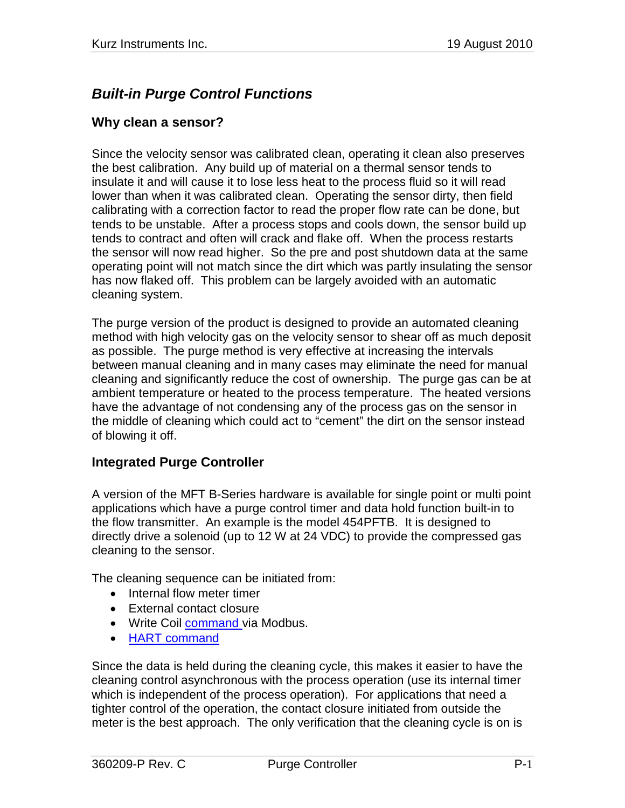# *Built-in Purge Control Functions*

#### **Why clean a sensor?**

Since the velocity sensor was calibrated clean, operating it clean also preserves the best calibration. Any build up of material on a thermal sensor tends to insulate it and will cause it to lose less heat to the process fluid so it will read lower than when it was calibrated clean. Operating the sensor dirty, then field calibrating with a correction factor to read the proper flow rate can be done, but tends to be unstable. After a process stops and cools down, the sensor build up tends to contract and often will crack and flake off. When the process restarts the sensor will now read higher. So the pre and post shutdown data at the same operating point will not match since the dirt which was partly insulating the sensor has now flaked off. This problem can be largely avoided with an automatic cleaning system.

The purge version of the product is designed to provide an automated cleaning method with high velocity gas on the velocity sensor to shear off as much deposit as possible. The purge method is very effective at increasing the intervals between manual cleaning and in many cases may eliminate the need for manual cleaning and significantly reduce the cost of ownership. The purge gas can be at ambient temperature or heated to the process temperature. The heated versions have the advantage of not condensing any of the process gas on the sensor in the middle of cleaning which could act to "cement" the dirt on the sensor instead of blowing it off.

### **Integrated Purge Controller**

A version of the MFT B-Series hardware is available for single point or multi point applications which have a purge control timer and data hold function built-in to the flow transmitter. An example is the model 454PFTB. It is designed to directly drive a solenoid (up to 12 W at 24 VDC) to provide the compressed gas cleaning to the sensor.

The cleaning sequence can be initiated from:

- Internal flow meter timer
- External contact closure
- Write Coil [command v](#page-4-0)ia Modbus.
- **HART** command

Since the data is held during the cleaning cycle, this makes it easier to have the cleaning control asynchronous with the process operation (use its internal timer which is independent of the process operation). For applications that need a tighter control of the operation, the contact closure initiated from outside the meter is the best approach. The only verification that the cleaning cycle is on is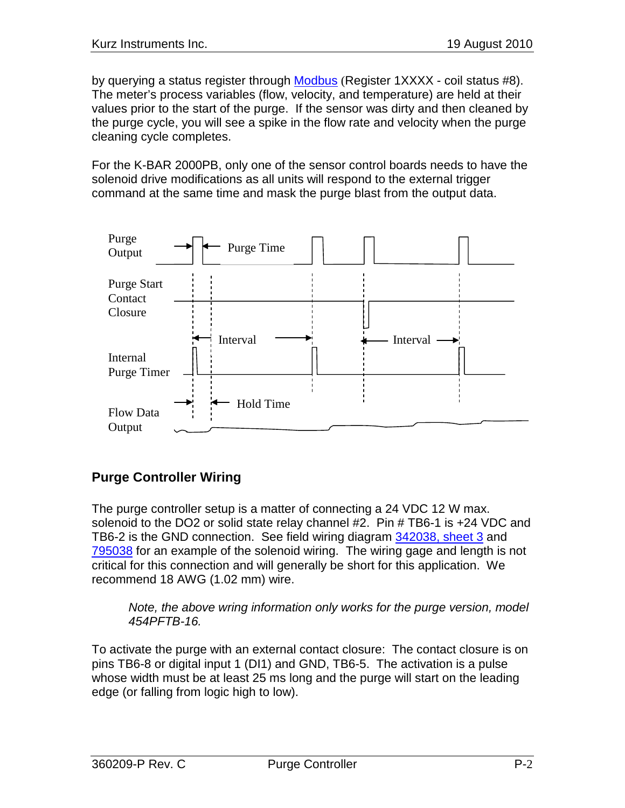by querying a status register through Modbus (Register 1XXXX - coil status #8). The meter's process variables (flow, velocity, and temperature) are held at their values prior to the start of the purge. If the sensor was dirty and then cleaned by the purge cycle, you will see a spike in the flow rate and velocity when the purge cleaning cycle completes.

For the K-BAR 2000PB, only one of the sensor control boards needs to have the solenoid drive modifications as all units will respond to the external trigger command at the same time and mask the purge blast from the output data.



# **Purge Controller Wiring**

The purge controller setup is a matter of connecting a 24 VDC 12 W max. solenoid to the DO2 or solid state relay channel #2. Pin # TB6-1 is +24 VDC and TB6-2 is the GND connection. See field wiring diagram 342038, sheet 3 and 795038 for an example of the solenoid wiring. The wiring gage and length is not critical for this connection and will generally be short for this application. We recommend 18 AWG (1.02 mm) wire.

*Note, the above wring information only works for the purge version, model 454PFTB-16.*

To activate the purge with an external contact closure: The contact closure is on pins TB6-8 or digital input 1 (DI1) and GND, TB6-5. The activation is a pulse whose width must be at least 25 ms long and the purge will start on the leading edge (or falling from logic high to low).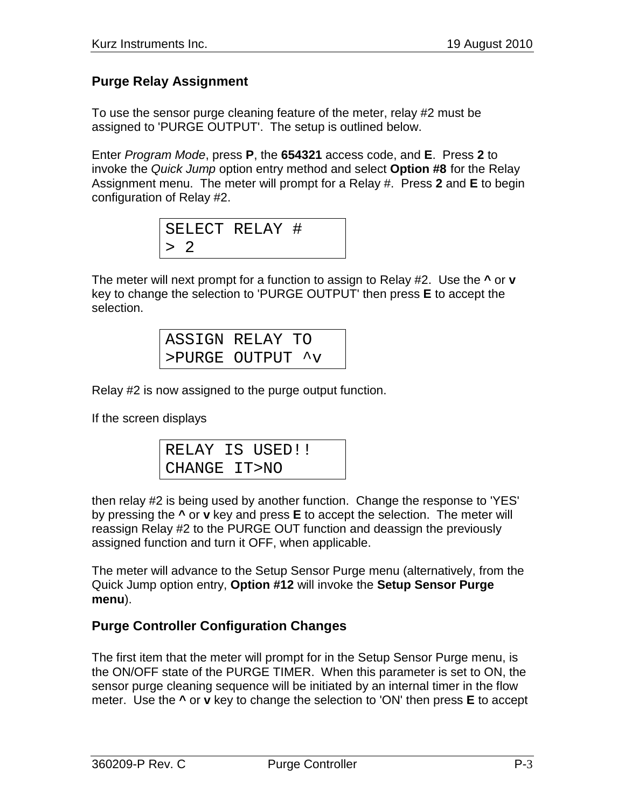### <span id="page-2-0"></span>**Purge Relay Assignment**

To use the sensor purge cleaning feature of the meter, relay #2 must be assigned to 'PURGE OUTPUT'. The setup is outlined below.

Enter *Program Mode*, press **P**, the **654321** access code, and **E**. Press **2** to invoke the *Quick Jump* option entry method and select **Option #8** for the Relay Assignment menu. The meter will prompt for a Relay #. Press **2** and **E** to begin configuration of Relay #2.

SELECT RELAY # > 2

The meter will next prompt for a function to assign to Relay #2. Use the **^** or **v** key to change the selection to 'PURGE OUTPUT' then press **E** to accept the selection.

| ASSIGN RELAY TO  |
|------------------|
| >PURGE OUTPUT ^v |

Relay #2 is now assigned to the purge output function.

If the screen displays

|              | RELAY IS USED!! |  |
|--------------|-----------------|--|
| CHANGE IT>NO |                 |  |

then relay #2 is being used by another function. Change the response to 'YES' by pressing the **^** or **v** key and press **E** to accept the selection. The meter will reassign Relay #2 to the PURGE OUT function and deassign the previously assigned function and turn it OFF, when applicable.

The meter will advance to the Setup Sensor Purge menu (alternatively, from the Quick Jump option entry, **Option #12** will invoke the **Setup Sensor Purge menu**).

### **Purge Controller Configuration Changes**

The first item that the meter will prompt for in the Setup Sensor Purge menu, is the ON/OFF state of the PURGE TIMER. When this parameter is set to ON, the sensor purge cleaning sequence will be initiated by an internal timer in the flow meter. Use the **^** or **v** key to change the selection to 'ON' then press **E** to accept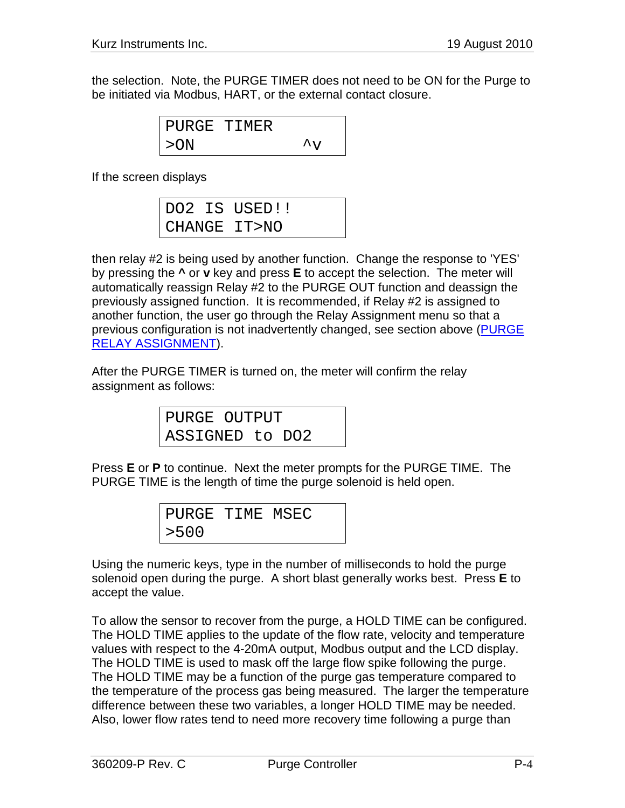the selection. Note, the PURGE TIMER does not need to be ON for the Purge to be initiated via Modbus, HART, or the external contact closure.

> PURGE TIMER  $>$  ON  $\sim$   $\sim$  V

If the screen displays

|  | DO2 IS USED!! |
|--|---------------|
|  | CHANGE IT>NO  |

then relay #2 is being used by another function. Change the response to 'YES' by pressing the **^** or **v** key and press **E** to accept the selection. The meter will automatically reassign Relay #2 to the PURGE OUT function and deassign the previously assigned function. It is recommended, if Relay #2 is assigned to another function, the user go through the Relay Assignment menu so that a previous configuration is not inadvertently changed, see section above [\(PURGE](#page-2-0)  [RELAY ASSIGNMENT\)](#page-2-0).

After the PURGE TIMER is turned on, the meter will confirm the relay assignment as follows:

| PURGE OUTPUT    |  |  |
|-----------------|--|--|
| ASSIGNED to DO2 |  |  |

Press **E** or **P** to continue. Next the meter prompts for the PURGE TIME. The PURGE TIME is the length of time the purge solenoid is held open.

| PURGE TIME MSEC |  |  |
|-----------------|--|--|
| > 500           |  |  |

Using the numeric keys, type in the number of milliseconds to hold the purge solenoid open during the purge. A short blast generally works best. Press **E** to accept the value.

To allow the sensor to recover from the purge, a HOLD TIME can be configured. The HOLD TIME applies to the update of the flow rate, velocity and temperature values with respect to the 4-20mA output, Modbus output and the LCD display. The HOLD TIME is used to mask off the large flow spike following the purge. The HOLD TIME may be a function of the purge gas temperature compared to the temperature of the process gas being measured. The larger the temperature difference between these two variables, a longer HOLD TIME may be needed. Also, lower flow rates tend to need more recovery time following a purge than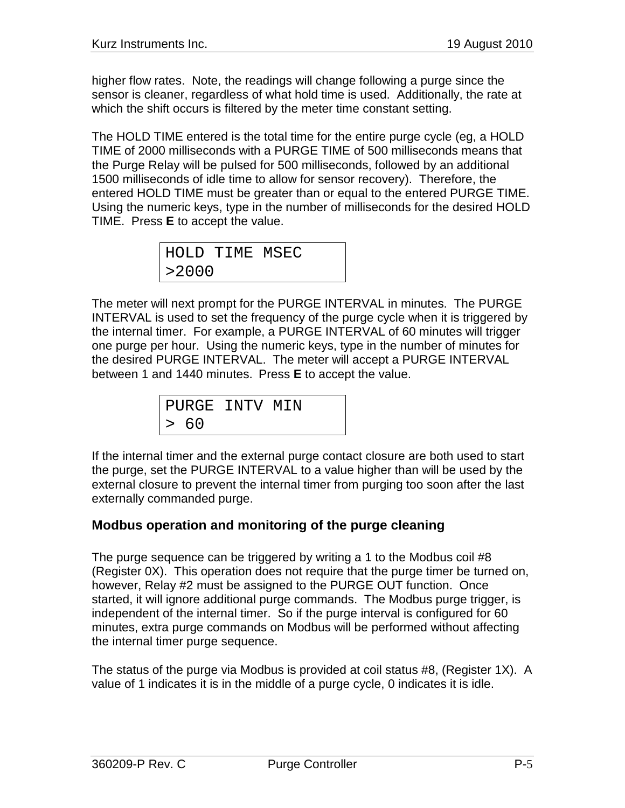higher flow rates. Note, the readings will change following a purge since the sensor is cleaner, regardless of what hold time is used. Additionally, the rate at which the shift occurs is filtered by the meter time constant setting.

The HOLD TIME entered is the total time for the entire purge cycle (eg, a HOLD TIME of 2000 milliseconds with a PURGE TIME of 500 milliseconds means that the Purge Relay will be pulsed for 500 milliseconds, followed by an additional 1500 milliseconds of idle time to allow for sensor recovery). Therefore, the entered HOLD TIME must be greater than or equal to the entered PURGE TIME. Using the numeric keys, type in the number of milliseconds for the desired HOLD TIME. Press **E** to accept the value.

HOLD TIME MSEC >2000

The meter will next prompt for the PURGE INTERVAL in minutes. The PURGE INTERVAL is used to set the frequency of the purge cycle when it is triggered by the internal timer. For example, a PURGE INTERVAL of 60 minutes will trigger one purge per hour. Using the numeric keys, type in the number of minutes for the desired PURGE INTERVAL. The meter will accept a PURGE INTERVAL between 1 and 1440 minutes. Press **E** to accept the value.

PURGE INTV MIN > 60

If the internal timer and the external purge contact closure are both used to start the purge, set the PURGE INTERVAL to a value higher than will be used by the external closure to prevent the internal timer from purging too soon after the last externally commanded purge.

# <span id="page-4-0"></span>**Modbus operation and monitoring of the purge cleaning**

The purge sequence can be triggered by writing a 1 to the Modbus coil #8 (Register 0X). This operation does not require that the purge timer be turned on, however, Relay #2 must be assigned to the PURGE OUT function. Once started, it will ignore additional purge commands. The Modbus purge trigger, is independent of the internal timer. So if the purge interval is configured for 60 minutes, extra purge commands on Modbus will be performed without affecting the internal timer purge sequence.

The status of the purge via Modbus is provided at coil status #8, (Register 1X). A value of 1 indicates it is in the middle of a purge cycle, 0 indicates it is idle.